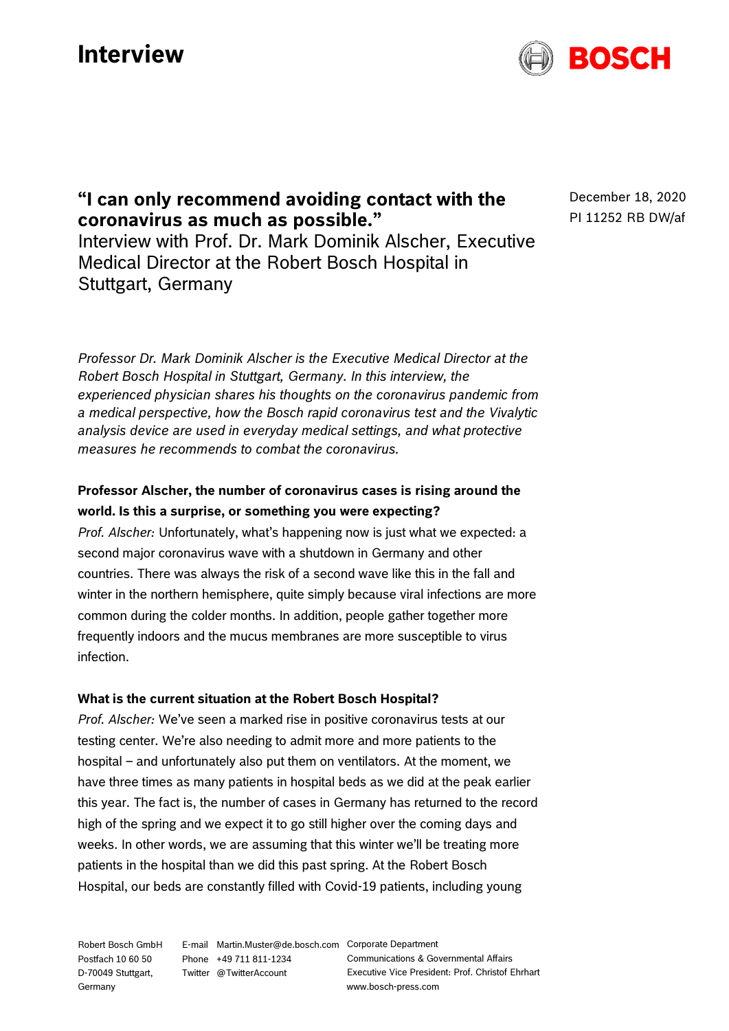# **Interview**



## **"I can only recommend avoiding contact with the coronavirus as much as possible."**

Interview with Prof. Dr. Mark Dominik Alscher, Executive Medical Director at the Robert Bosch Hospital in Stuttgart, Germany

*Professor Dr. Mark Dominik Alscher is the Executive Medical Director at the Robert Bosch Hospital in Stuttgart, Germany. In this interview, the experienced physician shares his thoughts on the coronavirus pandemic from a medical perspective, how the Bosch rapid coronavirus test and the Vivalytic analysis device are used in everyday medical settings, and what protective measures he recommends to combat the coronavirus.*

### **Professor Alscher, the number of coronavirus cases is rising around the world. Is this a surprise, or something you were expecting?**

*Prof. Alscher:* Unfortunately, what's happening now is just what we expected: a second major coronavirus wave with a shutdown in Germany and other countries. There was always the risk of a second wave like this in the fall and winter in the northern hemisphere, quite simply because viral infections are more common during the colder months. In addition, people gather together more frequently indoors and the mucus membranes are more susceptible to virus infection.

#### **What is the current situation at the Robert Bosch Hospital?**

*Prof. Alscher:* We've seen a marked rise in positive coronavirus tests at our testing center. We're also needing to admit more and more patients to the hospital – and unfortunately also put them on ventilators. At the moment, we have three times as many patients in hospital beds as we did at the peak earlier this year. The fact is, the number of cases in Germany has returned to the record high of the spring and we expect it to go still higher over the coming days and weeks. In other words, we are assuming that this winter we'll be treating more patients in the hospital than we did this past spring. At the Robert Bosch Hospital, our beds are constantly filled with Covid-19 patients, including young

Robert Bosch GmbH Postfach 10 60 50 D-70049 Stuttgart, Germany

E-mail Martin.Muster@de.bosch.com Corporate Department Phone +49 711 811-1234 Twitter @TwitterAccount

Communications & Governmental Affairs Executive Vice President: Prof. Christof Ehrhart www.bosch-press.com

December 18, 2020 PI 11252 RB DW/af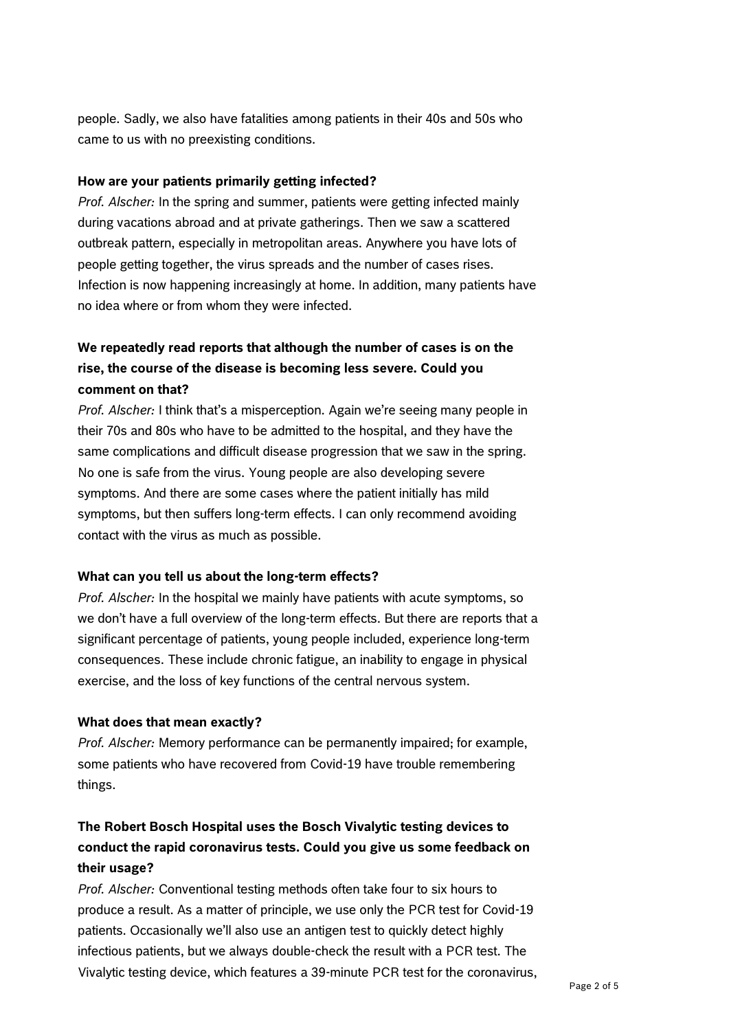people. Sadly, we also have fatalities among patients in their 40s and 50s who came to us with no preexisting conditions.

#### **How are your patients primarily getting infected?**

*Prof. Alscher:* In the spring and summer, patients were getting infected mainly during vacations abroad and at private gatherings. Then we saw a scattered outbreak pattern, especially in metropolitan areas. Anywhere you have lots of people getting together, the virus spreads and the number of cases rises. Infection is now happening increasingly at home. In addition, many patients have no idea where or from whom they were infected.

### **We repeatedly read reports that although the number of cases is on the rise, the course of the disease is becoming less severe. Could you comment on that?**

*Prof. Alscher:* I think that's a misperception. Again we're seeing many people in their 70s and 80s who have to be admitted to the hospital, and they have the same complications and difficult disease progression that we saw in the spring. No one is safe from the virus. Young people are also developing severe symptoms. And there are some cases where the patient initially has mild symptoms, but then suffers long-term effects. I can only recommend avoiding contact with the virus as much as possible.

#### **What can you tell us about the long-term effects?**

*Prof. Alscher:* In the hospital we mainly have patients with acute symptoms, so we don't have a full overview of the long-term effects. But there are reports that a significant percentage of patients, young people included, experience long-term consequences. These include chronic fatigue, an inability to engage in physical exercise, and the loss of key functions of the central nervous system.

#### **What does that mean exactly?**

*Prof. Alscher:* Memory performance can be permanently impaired; for example, some patients who have recovered from Covid-19 have trouble remembering things.

### **The Robert Bosch Hospital uses the Bosch Vivalytic testing devices to conduct the rapid coronavirus tests. Could you give us some feedback on their usage?**

*Prof. Alscher:* Conventional testing methods often take four to six hours to produce a result. As a matter of principle, we use only the PCR test for Covid-19 patients. Occasionally we'll also use an antigen test to quickly detect highly infectious patients, but we always double-check the result with a PCR test. The Vivalytic testing device, which features a 39-minute PCR test for the coronavirus,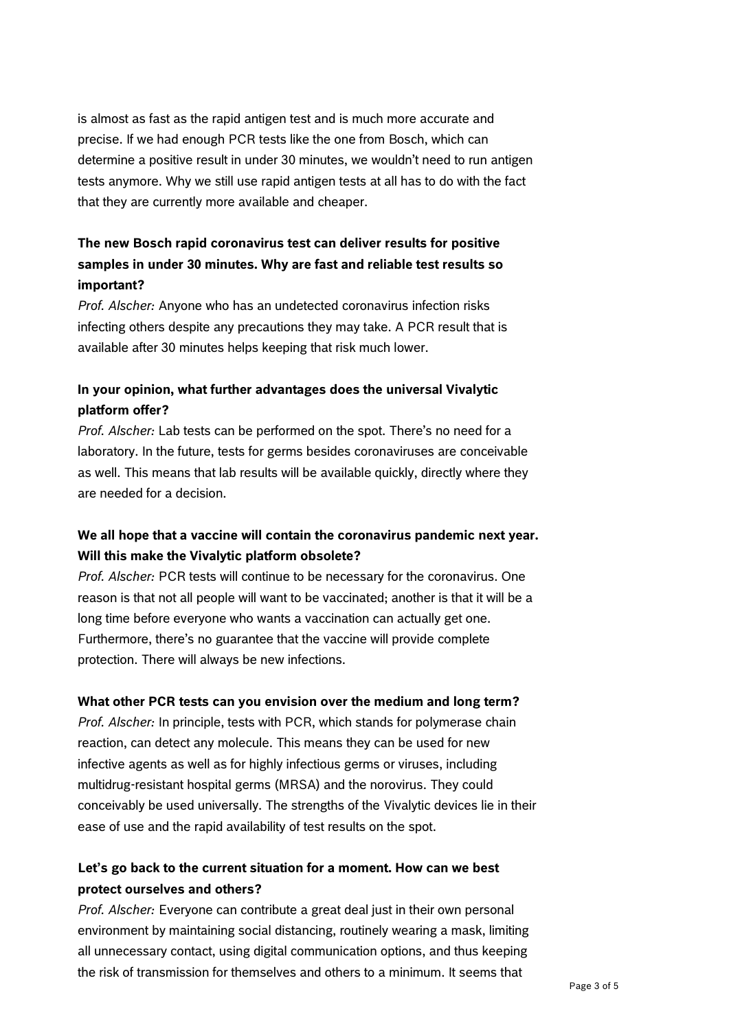is almost as fast as the rapid antigen test and is much more accurate and precise. If we had enough PCR tests like the one from Bosch, which can determine a positive result in under 30 minutes, we wouldn't need to run antigen tests anymore. Why we still use rapid antigen tests at all has to do with the fact that they are currently more available and cheaper.

### **The new Bosch rapid coronavirus test can deliver results for positive samples in under 30 minutes. Why are fast and reliable test results so important?**

*Prof. Alscher:* Anyone who has an undetected coronavirus infection risks infecting others despite any precautions they may take. A PCR result that is available after 30 minutes helps keeping that risk much lower.

### **In your opinion, what further advantages does the universal Vivalytic platform offer?**

*Prof. Alscher:* Lab tests can be performed on the spot. There's no need for a laboratory. In the future, tests for germs besides coronaviruses are conceivable as well. This means that lab results will be available quickly, directly where they are needed for a decision.

#### **We all hope that a vaccine will contain the coronavirus pandemic next year. Will this make the Vivalytic platform obsolete?**

*Prof. Alscher:* PCR tests will continue to be necessary for the coronavirus. One reason is that not all people will want to be vaccinated; another is that it will be a long time before everyone who wants a vaccination can actually get one. Furthermore, there's no guarantee that the vaccine will provide complete protection. There will always be new infections.

#### **What other PCR tests can you envision over the medium and long term?**

*Prof. Alscher:* In principle, tests with PCR, which stands for polymerase chain reaction, can detect any molecule. This means they can be used for new infective agents as well as for highly infectious germs or viruses, including multidrug-resistant hospital germs (MRSA) and the norovirus. They could conceivably be used universally. The strengths of the Vivalytic devices lie in their ease of use and the rapid availability of test results on the spot.

#### **Let's go back to the current situation for a moment. How can we best protect ourselves and others?**

*Prof. Alscher:* Everyone can contribute a great deal just in their own personal environment by maintaining social distancing, routinely wearing a mask, limiting all unnecessary contact, using digital communication options, and thus keeping the risk of transmission for themselves and others to a minimum. It seems that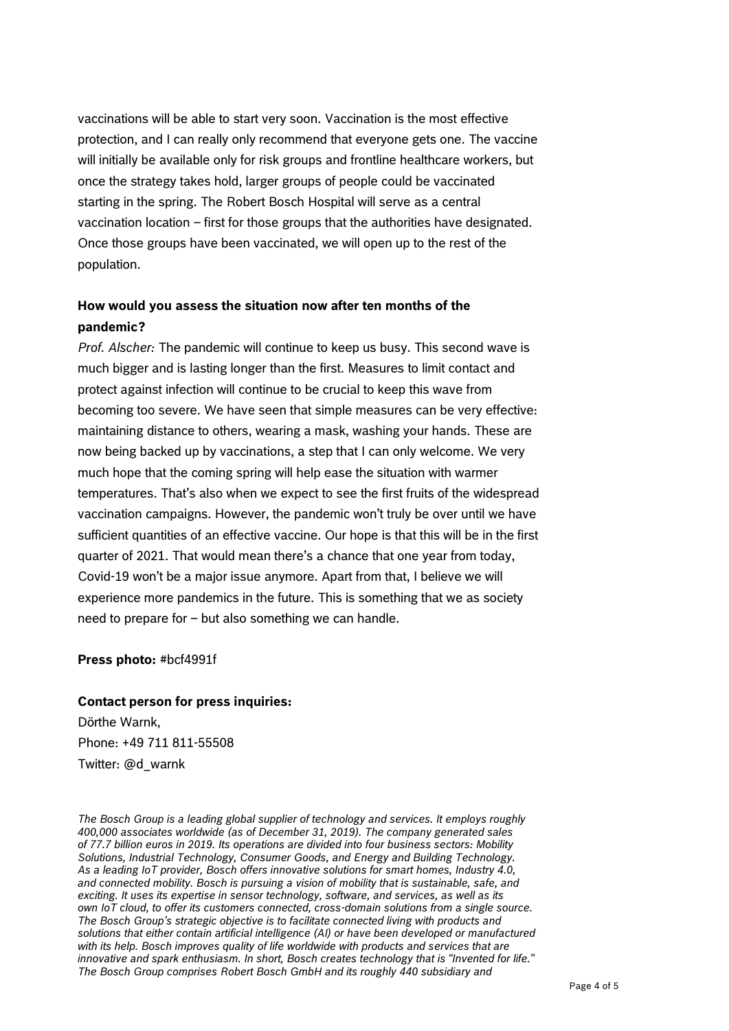vaccinations will be able to start very soon. Vaccination is the most effective protection, and I can really only recommend that everyone gets one. The vaccine will initially be available only for risk groups and frontline healthcare workers, but once the strategy takes hold, larger groups of people could be vaccinated starting in the spring. The Robert Bosch Hospital will serve as a central vaccination location – first for those groups that the authorities have designated. Once those groups have been vaccinated, we will open up to the rest of the population.

### **How would you assess the situation now after ten months of the pandemic?**

*Prof. Alscher:* The pandemic will continue to keep us busy. This second wave is much bigger and is lasting longer than the first. Measures to limit contact and protect against infection will continue to be crucial to keep this wave from becoming too severe. We have seen that simple measures can be very effective: maintaining distance to others, wearing a mask, washing your hands. These are now being backed up by vaccinations, a step that I can only welcome. We very much hope that the coming spring will help ease the situation with warmer temperatures. That's also when we expect to see the first fruits of the widespread vaccination campaigns. However, the pandemic won't truly be over until we have sufficient quantities of an effective vaccine. Our hope is that this will be in the first quarter of 2021. That would mean there's a chance that one year from today, Covid-19 won't be a major issue anymore. Apart from that, I believe we will experience more pandemics in the future. This is something that we as society need to prepare for – but also something we can handle.

#### **Press photo:** #bcf4991f

#### **Contact person for press inquiries:**

Dörthe Warnk, Phone: +49 711 811-55508 Twitter: @d\_warnk

*The Bosch Group is a leading global supplier of technology and services. It employs roughly 400,000 associates worldwide (as of December 31, 2019). The company generated sales of 77.7 billion euros in 2019. Its operations are divided into four business sectors: Mobility Solutions, Industrial Technology, Consumer Goods, and Energy and Building Technology. As a leading IoT provider, Bosch offers innovative solutions for smart homes, Industry 4.0, and connected mobility. Bosch is pursuing a vision of mobility that is sustainable, safe, and exciting. It uses its expertise in sensor technology, software, and services, as well as its own IoT cloud, to offer its customers connected, cross-domain solutions from a single source. The Bosch Group's strategic objective is to facilitate connected living with products and solutions that either contain artificial intelligence (AI) or have been developed or manufactured with its help. Bosch improves quality of life worldwide with products and services that are innovative and spark enthusiasm. In short, Bosch creates technology that is "Invented for life." The Bosch Group comprises Robert Bosch GmbH and its roughly 440 subsidiary and*